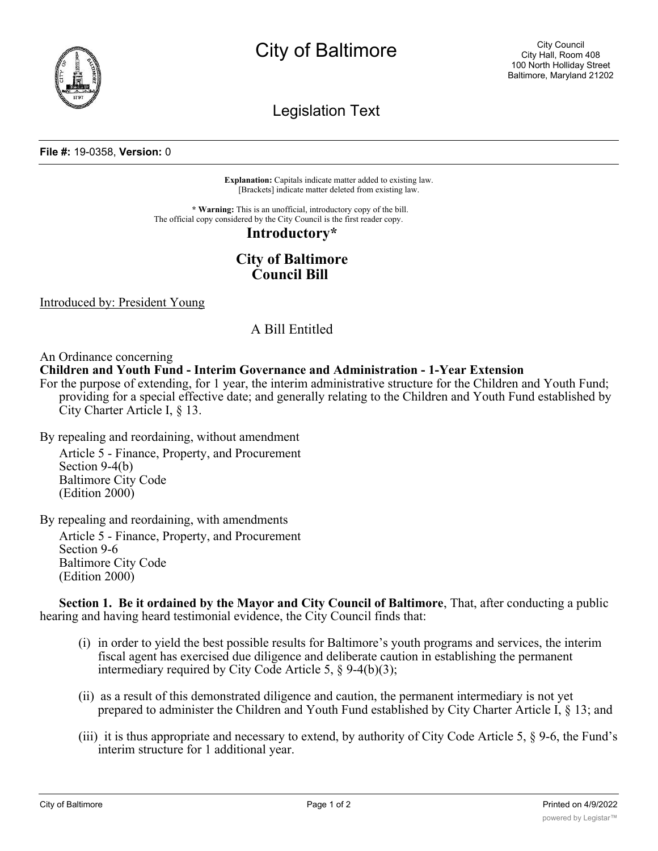

# City of Baltimore

Legislation Text

#### **File #:** 19-0358, **Version:** 0

**Explanation:** Capitals indicate matter added to existing law. [Brackets] indicate matter deleted from existing law.

**\* Warning:** This is an unofficial, introductory copy of the bill. The official copy considered by the City Council is the first reader copy.

#### **Introductory\***

## **City of Baltimore Council Bill**

Introduced by: President Young

### A Bill Entitled

An Ordinance concerning

**Children and Youth Fund - Interim Governance and Administration - 1-Year Extension**

For the purpose of extending, for 1 year, the interim administrative structure for the Children and Youth Fund; providing for a special effective date; and generally relating to the Children and Youth Fund established by City Charter Article I, § 13.

By repealing and reordaining, without amendment

Article 5 - Finance, Property, and Procurement Section 9-4(b) Baltimore City Code (Edition 2000)

By repealing and reordaining, with amendments

Article 5 - Finance, Property, and Procurement Section 9-6 Baltimore City Code (Edition 2000)

**Section 1. Be it ordained by the Mayor and City Council of Baltimore**, That, after conducting a public hearing and having heard testimonial evidence, the City Council finds that:

- (i) in order to yield the best possible results for Baltimore's youth programs and services, the interim fiscal agent has exercised due diligence and deliberate caution in establishing the permanent intermediary required by City Code Article 5, § 9-4(b)(3);
- (ii) as a result of this demonstrated diligence and caution, the permanent intermediary is not yet prepared to administer the Children and Youth Fund established by City Charter Article I, § 13; and
- (iii) it is thus appropriate and necessary to extend, by authority of City Code Article 5, § 9-6, the Fund's interim structure for 1 additional year.